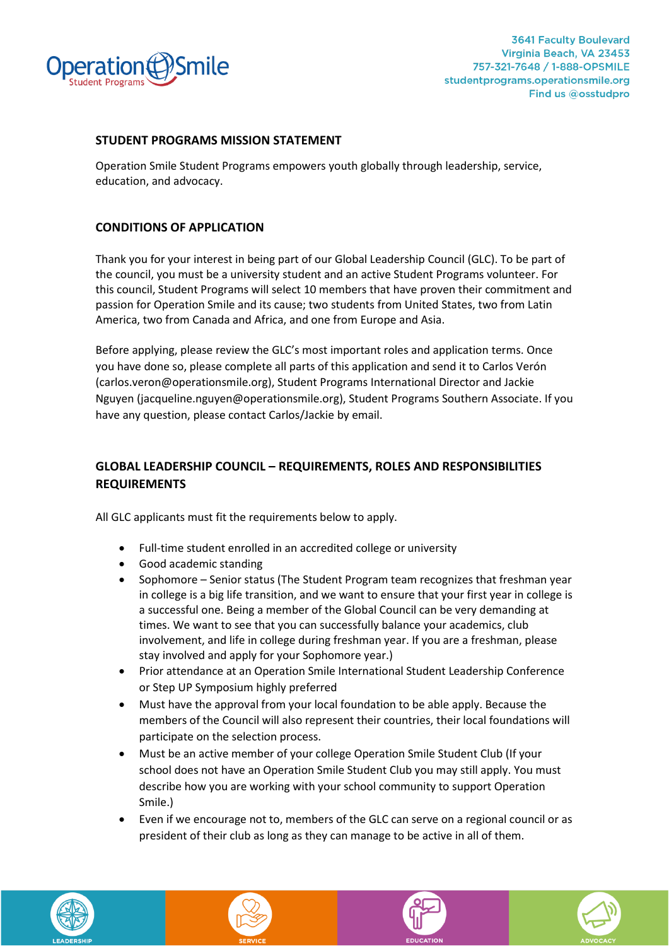

## **STUDENT PROGRAMS MISSION STATEMENT**

Operation Smile Student Programs empowers youth globally through leadership, service, education, and advocacy.

## **CONDITIONS OF APPLICATION**

Thank you for your interest in being part of our Global Leadership Council (GLC). To be part of the council, you must be a university student and an active Student Programs volunteer. For this council, Student Programs will select 10 members that have proven their commitment and passion for Operation Smile and its cause; two students from United States, two from Latin America, two from Canada and Africa, and one from Europe and Asia.

Before applying, please review the GLC's most important roles and application terms. Once you have done so, please complete all parts of this application and send it to Carlos Verón (carlos.veron@operationsmile.org), Student Programs International Director and Jackie Nguyen (jacqueline.nguyen@operationsmile.org), Student Programs Southern Associate. If you have any question, please contact Carlos/Jackie by email.

# **GLOBAL LEADERSHIP COUNCIL – REQUIREMENTS, ROLES AND RESPONSIBILITIES REQUIREMENTS**

All GLC applicants must fit the requirements below to apply.

- Full-time student enrolled in an accredited college or university
- Good academic standing
- Sophomore Senior status (The Student Program team recognizes that freshman year in college is a big life transition, and we want to ensure that your first year in college is a successful one. Being a member of the Global Council can be very demanding at times. We want to see that you can successfully balance your academics, club involvement, and life in college during freshman year. If you are a freshman, please stay involved and apply for your Sophomore year.)
- Prior attendance at an Operation Smile International Student Leadership Conference or Step UP Symposium highly preferred
- Must have the approval from your local foundation to be able apply. Because the members of the Council will also represent their countries, their local foundations will participate on the selection process.
- Must be an active member of your college Operation Smile Student Club (If your school does not have an Operation Smile Student Club you may still apply. You must describe how you are working with your school community to support Operation Smile.)
- Even if we encourage not to, members of the GLC can serve on a regional council or as president of their club as long as they can manage to be active in all of them.







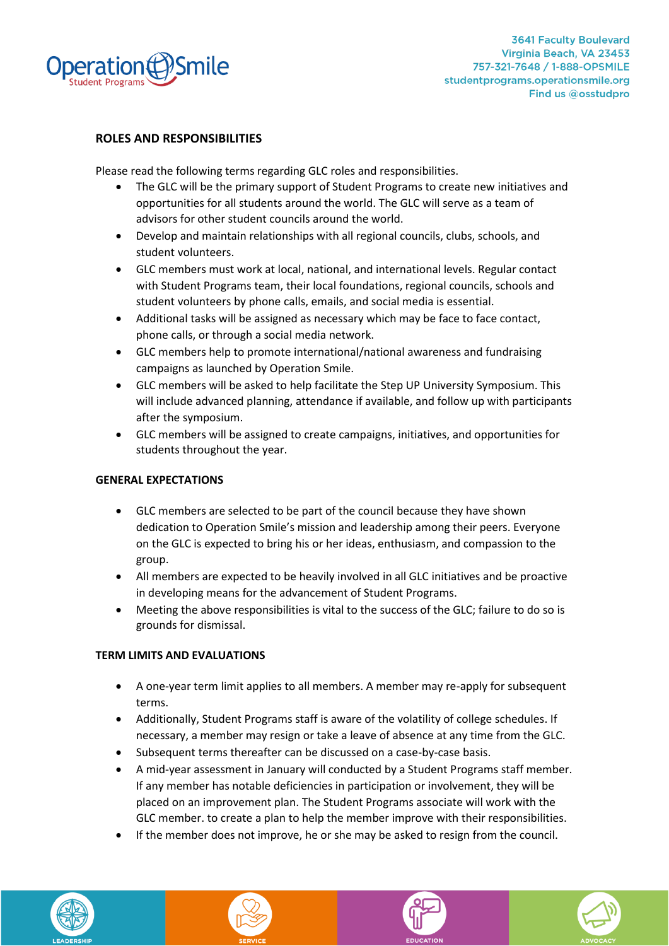

## **ROLES AND RESPONSIBILITIES**

Please read the following terms regarding GLC roles and responsibilities.

- The GLC will be the primary support of Student Programs to create new initiatives and opportunities for all students around the world. The GLC will serve as a team of advisors for other student councils around the world.
- Develop and maintain relationships with all regional councils, clubs, schools, and student volunteers.
- GLC members must work at local, national, and international levels. Regular contact with Student Programs team, their local foundations, regional councils, schools and student volunteers by phone calls, emails, and social media is essential.
- Additional tasks will be assigned as necessary which may be face to face contact, phone calls, or through a social media network.
- GLC members help to promote international/national awareness and fundraising campaigns as launched by Operation Smile.
- GLC members will be asked to help facilitate the Step UP University Symposium. This will include advanced planning, attendance if available, and follow up with participants after the symposium.
- GLC members will be assigned to create campaigns, initiatives, and opportunities for students throughout the year.

### **GENERAL EXPECTATIONS**

- GLC members are selected to be part of the council because they have shown dedication to Operation Smile's mission and leadership among their peers. Everyone on the GLC is expected to bring his or her ideas, enthusiasm, and compassion to the group.
- All members are expected to be heavily involved in all GLC initiatives and be proactive in developing means for the advancement of Student Programs.
- Meeting the above responsibilities is vital to the success of the GLC; failure to do so is grounds for dismissal.

### **TERM LIMITS AND EVALUATIONS**

- A one-year term limit applies to all members. A member may re-apply for subsequent terms.
- Additionally, Student Programs staff is aware of the volatility of college schedules. If necessary, a member may resign or take a leave of absence at any time from the GLC.
- Subsequent terms thereafter can be discussed on a case-by-case basis.
- A mid-year assessment in January will conducted by a Student Programs staff member. If any member has notable deficiencies in participation or involvement, they will be placed on an improvement plan. The Student Programs associate will work with the GLC member. to create a plan to help the member improve with their responsibilities.
- If the member does not improve, he or she may be asked to resign from the council.







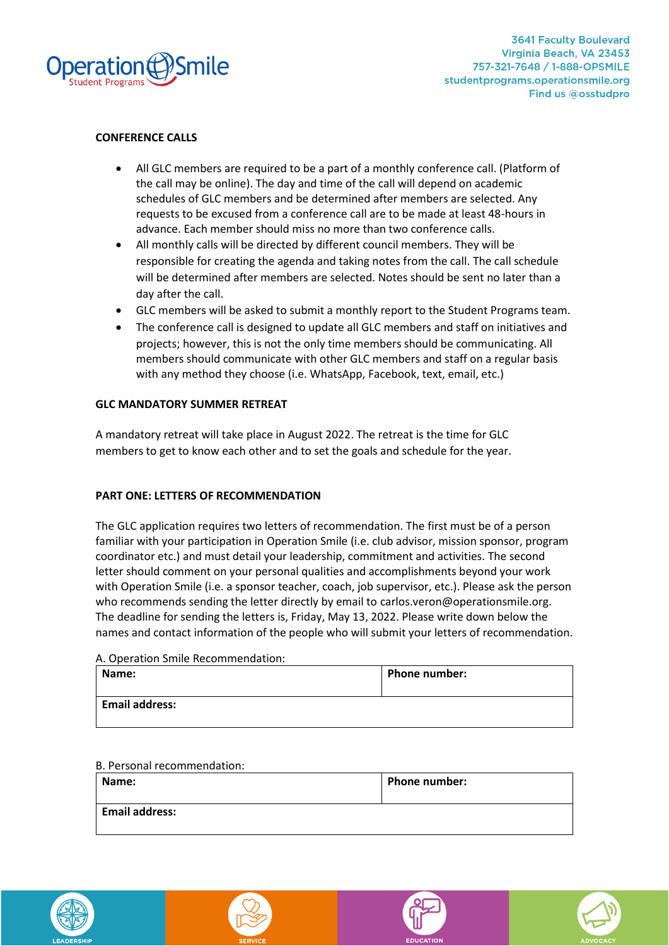

### **CONFERENCE CALLS**

- All GLC members are required to be a part of a monthly conference call. (Platform of the call may be online). The day and time of the call will depend on academic schedules of GLC members and be determined after members are selected. Any requests to be excused from a conference call are to be made at least 48-hours in advance. Each member should miss no more than two conference calls.
- All monthly calls will be directed by different council members. They will be responsible for creating the agenda and taking notes from the call. The call schedule will be determined after members are selected. Notes should be sent no later than a day after the call.
- GLC members will be asked to submit a monthly report to the Student Programs team.
- The conference call is designed to update all GLC members and staff on initiatives and projects; however, this is not the only time members should be communicating. All members should communicate with other GLC members and staff on a regular basis with any method they choose (i.e. WhatsApp, Facebook, text, email, etc.)

### **GLC MANDATORY SUMMER RETREAT**

A mandatory retreat will take place in August 2022. The retreat is the time for GLC members to get to know each other and to set the goals and schedule for the year.

### **PART ONE: LETTERS OF RECOMMENDATION**

The GLC application requires two letters of recommendation. The first must be of a person familiar with your participation in Operation Smile (i.e. club advisor, mission sponsor, program coordinator etc.) and must detail your leadership, commitment and activities. The second letter should comment on your personal qualities and accomplishments beyond your work with Operation Smile (i.e. a sponsor teacher, coach, job supervisor, etc.). Please ask the person who recommends sending the letter directly by email to carlos.veron@operationsmile.org. The deadline for sending the letters is, Friday, May 13, 2022. Please write down below the names and contact information of the people who will submit your letters of recommendation.

### A. Operation Smile Recommendation:

| Name:                 | <b>Phone number:</b> |
|-----------------------|----------------------|
| <b>Email address:</b> |                      |

#### B. Personal recommendation:

| Name:                 | <b>Phone number:</b> |
|-----------------------|----------------------|
| <b>Email address:</b> |                      |